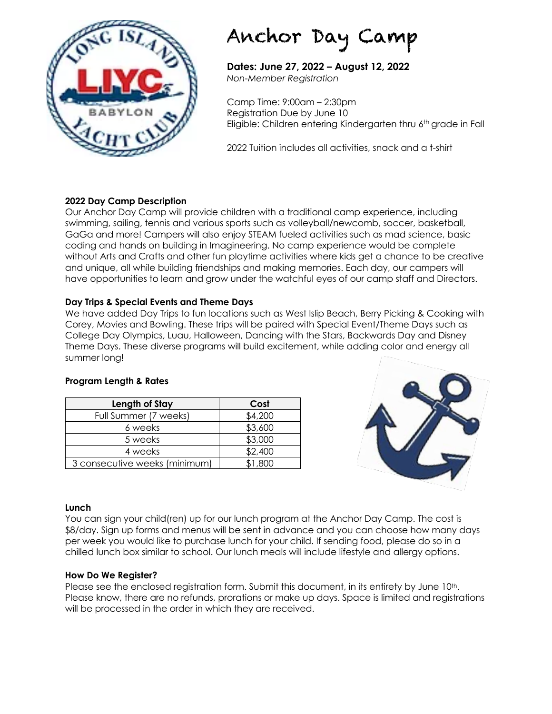

# Anchor Day Camp

**Dates: June 27, 2022 – August 12, 2022** *Non-Member Registration*

Camp Time: 9:00am – 2:30pm Registration Due by June 10 Eligible: Children entering Kindergarten thru 6<sup>th</sup> grade in Fall

2022 Tuition includes all activities, snack and a t-shirt

#### **2022 Day Camp Description**

Our Anchor Day Camp will provide children with a traditional camp experience, including swimming, sailing, tennis and various sports such as volleyball/newcomb, soccer, basketball, GaGa and more! Campers will also enjoy STEAM fueled activities such as mad science, basic coding and hands on building in Imagineering. No camp experience would be complete without Arts and Crafts and other fun playtime activities where kids get a chance to be creative and unique, all while building friendships and making memories. Each day, our campers will have opportunities to learn and grow under the watchful eyes of our camp staff and Directors.

#### **Day Trips & Special Events and Theme Days**

We have added Day Trips to fun locations such as West Islip Beach, Berry Picking & Cooking with Corey, Movies and Bowling. These trips will be paired with Special Event/Theme Days such as College Day Olympics, Luau, Halloween, Dancing with the Stars, Backwards Day and Disney Theme Days. These diverse programs will build excitement, while adding color and energy all summer long!

#### **Program Length & Rates**

| Length of Stay                | Cost    |
|-------------------------------|---------|
| Full Summer (7 weeks)         | \$4,200 |
| 6 weeks                       | \$3,600 |
| 5 weeks                       | \$3,000 |
| 4 weeks                       | \$2,400 |
| 3 consecutive weeks (minimum) | \$1,800 |



#### **Lunch**

You can sign your child(ren) up for our lunch program at the Anchor Day Camp. The cost is \$8/day. Sign up forms and menus will be sent in advance and you can choose how many days per week you would like to purchase lunch for your child. If sending food, please do so in a chilled lunch box similar to school. Our lunch meals will include lifestyle and allergy options.

#### **How Do We Register?**

Please see the enclosed registration form. Submit this document, in its entirety by June 10th. Please know, there are no refunds, prorations or make up days. Space is limited and registrations will be processed in the order in which they are received.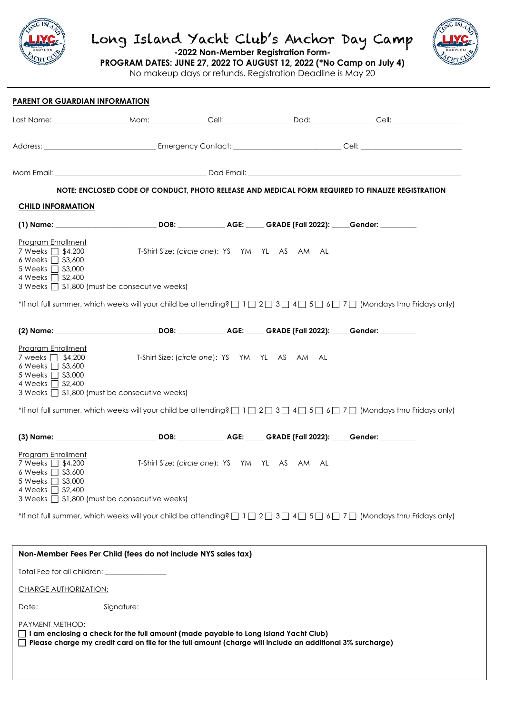

 $\overline{\phantom{0}}$ 

## Long Island Yacht Club's Anchor Day Camp



**-2022 Non-Member Registration Form-**

**PROGRAM DATES: JUNE 27, 2022 TO AUGUST 12, 2022 (\*No Camp on July 4)**

No makeup days or refunds. Registration Deadline is May 20

| <b>PARENT OR GUARDIAN INFORMATION</b>                                                                                                                             |                                                                                                                                                                                                           |                                               |                                                                                                                                                                  |  |
|-------------------------------------------------------------------------------------------------------------------------------------------------------------------|-----------------------------------------------------------------------------------------------------------------------------------------------------------------------------------------------------------|-----------------------------------------------|------------------------------------------------------------------------------------------------------------------------------------------------------------------|--|
|                                                                                                                                                                   |                                                                                                                                                                                                           |                                               |                                                                                                                                                                  |  |
|                                                                                                                                                                   |                                                                                                                                                                                                           |                                               |                                                                                                                                                                  |  |
|                                                                                                                                                                   |                                                                                                                                                                                                           |                                               |                                                                                                                                                                  |  |
|                                                                                                                                                                   |                                                                                                                                                                                                           |                                               | NOTE: ENCLOSED CODE OF CONDUCT, PHOTO RELEASE AND MEDICAL FORM REQUIRED TO FINALIZE REGISTRATION                                                                 |  |
| <b>CHILD INFORMATION</b>                                                                                                                                          |                                                                                                                                                                                                           |                                               |                                                                                                                                                                  |  |
|                                                                                                                                                                   |                                                                                                                                                                                                           |                                               |                                                                                                                                                                  |  |
| Program Enrollment<br>7 Weeks □ \$4,200<br>6 Weeks $\Box$ \$3,600<br>5 Weeks □ \$3,000<br>4 Weeks □ \$2,400<br>3 Weeks □ \$1,800 (must be consecutive weeks)      | T-Shirt Size: (circle one): YS YM YL AS AM AL                                                                                                                                                             |                                               |                                                                                                                                                                  |  |
|                                                                                                                                                                   |                                                                                                                                                                                                           |                                               | *If not full summer, which weeks will your child be attending? $\Box$ 1 $\Box$ 2 $\Box$ 3 $\Box$ 4 $\Box$ 5 $\Box$ 6 $\Box$ 7 $\Box$ (Mondays thru Fridays only) |  |
|                                                                                                                                                                   |                                                                                                                                                                                                           |                                               |                                                                                                                                                                  |  |
| Program Enrollment<br>7 weeks □ \$4,200<br>6 Weeks $\Box$ \$3,600<br>5 Weeks □ \$3,000<br>4 Weeks □ \$2,400<br>3 Weeks $\Box$ \$1,800 (must be consecutive weeks) | T-Shirt Size: (circle one): YS YM YL AS AM AL                                                                                                                                                             |                                               |                                                                                                                                                                  |  |
|                                                                                                                                                                   |                                                                                                                                                                                                           |                                               | *If not full summer, which weeks will your child be attending? $\Box$ 1 $\Box$ 2 $\Box$ 3 $\Box$ 4 $\Box$ 5 $\Box$ 6 $\Box$ 7 $\Box$ (Mondays thru Fridays only) |  |
|                                                                                                                                                                   |                                                                                                                                                                                                           |                                               |                                                                                                                                                                  |  |
| Program Enrollment<br>7 Weeks $\Box$ \$4,200<br>6 Weeks □ \$3,600<br>5 Weeks □ \$3,000<br>4 Weeks □ \$2,400                                                       |                                                                                                                                                                                                           | T-Shirt Size: (circle one): YS YM YL AS AM AL |                                                                                                                                                                  |  |
| 3 Weeks $\Box$ \$1,800 (must be consecutive weeks)                                                                                                                |                                                                                                                                                                                                           |                                               |                                                                                                                                                                  |  |
|                                                                                                                                                                   |                                                                                                                                                                                                           |                                               | *If not full summer, which weeks will your child be attending? $\Box$ 1 $\Box$ 2 $\Box$ 3 $\Box$ 4 $\Box$ 5 $\Box$ 6 $\Box$ 7 $\Box$ (Mondays thru Fridays only) |  |
|                                                                                                                                                                   | Non-Member Fees Per Child (fees do not include NYS sales tax)                                                                                                                                             |                                               |                                                                                                                                                                  |  |
| Total Fee for all children: _________________                                                                                                                     |                                                                                                                                                                                                           |                                               |                                                                                                                                                                  |  |
| <b>CHARGE AUTHORIZATION:</b>                                                                                                                                      |                                                                                                                                                                                                           |                                               |                                                                                                                                                                  |  |
|                                                                                                                                                                   |                                                                                                                                                                                                           |                                               |                                                                                                                                                                  |  |
| PAYMENT METHOD:                                                                                                                                                   | $\Box$ I am enclosing a check for the full amount (made payable to Long Island Yacht Club)<br>□ Please charge my credit card on file for the full amount (charge will include an additional 3% surcharge) |                                               |                                                                                                                                                                  |  |